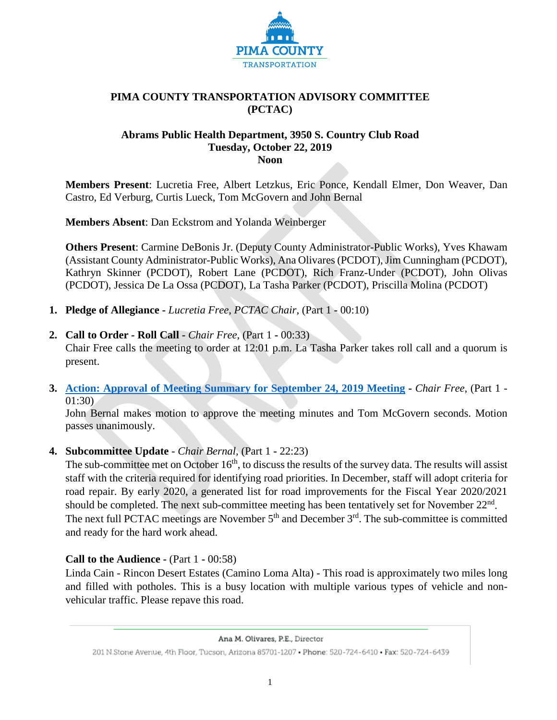

## **PIMA COUNTY TRANSPORTATION ADVISORY COMMITTEE (PCTAC)**

#### **Abrams Public Health Department, 3950 S. Country Club Road Tuesday, October 22, 2019 Noon**

**Members Present**: Lucretia Free, Albert Letzkus, Eric Ponce, Kendall Elmer, Don Weaver, Dan Castro, Ed Verburg, Curtis Lueck, Tom McGovern and John Bernal

**Members Absent**: Dan Eckstrom and Yolanda Weinberger

**Others Present**: Carmine DeBonis Jr. (Deputy County Administrator-Public Works), Yves Khawam (Assistant County Administrator-Public Works), Ana Olivares (PCDOT), Jim Cunningham (PCDOT), Kathryn Skinner (PCDOT), Robert Lane (PCDOT), Rich Franz-Under (PCDOT), John Olivas (PCDOT), Jessica De La Ossa (PCDOT), La Tasha Parker (PCDOT), Priscilla Molina (PCDOT)

- **1. Pledge of Allegiance -** *Lucretia Free, PCTAC Chair,* (Part 1 **-** 00:10)
- **2. Call to Order - Roll Call -** *Chair Free*, (Part 1 **-** 00:33)

Chair Free calls the meeting to order at 12:01 p.m. La Tasha Parker takes roll call and a quorum is present.

**3. Action: Approval [of Meeting Summary for September 24, 2019 Meeting](http://webcms.pima.gov/UserFiles/Servers/Server_6/File/Government/Transportation/TransportationAdvisoryCommittee/Minutes/092419_%20PCTAC_MtgMinutesSummaryDraft.pdf) -** *Chair Free*, (Part 1 - 01:30)

John Bernal makes motion to approve the meeting minutes and Tom McGovern seconds. Motion passes unanimously.

## **4. Subcommittee Update** - *Chair Bernal,* (Part 1 **-** 22:23)

The sub-committee met on October  $16<sup>th</sup>$ , to discuss the results of the survey data. The results will assist staff with the criteria required for identifying road priorities. In December, staff will adopt criteria for road repair. By early 2020, a generated list for road improvements for the Fiscal Year 2020/2021 should be completed. The next sub-committee meeting has been tentatively set for November 22<sup>nd</sup>. The next full PCTAC meetings are November  $5<sup>th</sup>$  and December  $3<sup>rd</sup>$ . The sub-committee is committed and ready for the hard work ahead.

#### **Call to the Audience -** (Part 1 **-** 00:58)

Linda Cain - Rincon Desert Estates (Camino Loma Alta) - This road is approximately two miles long and filled with potholes. This is a busy location with multiple various types of vehicle and nonvehicular traffic. Please repave this road.

Ana M. Olivares, P.E., Director

<sup>201</sup> N.Stone Avenue, 4th Floor, Tucson, Arizona 85701-1207 . Phone: 520-724-6410 . Fax: 520-724-6439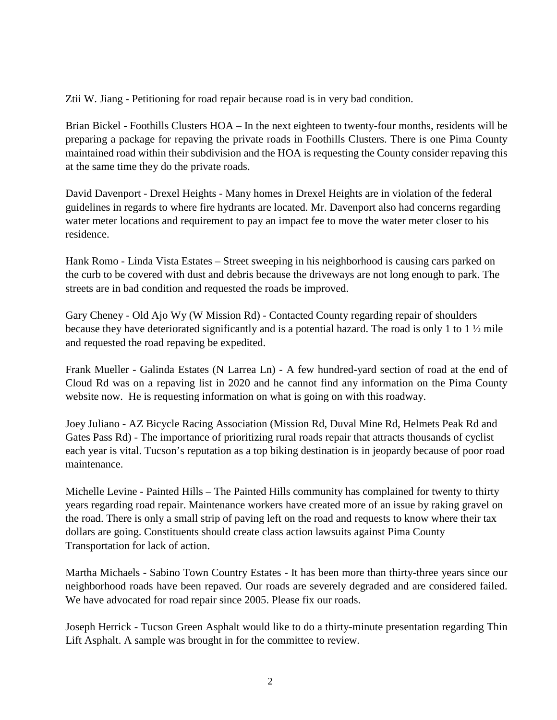Ztii W. Jiang - Petitioning for road repair because road is in very bad condition.

Brian Bickel - Foothills Clusters HOA – In the next eighteen to twenty-four months, residents will be preparing a package for repaving the private roads in Foothills Clusters. There is one Pima County maintained road within their subdivision and the HOA is requesting the County consider repaving this at the same time they do the private roads.

David Davenport - Drexel Heights - Many homes in Drexel Heights are in violation of the federal guidelines in regards to where fire hydrants are located. Mr. Davenport also had concerns regarding water meter locations and requirement to pay an impact fee to move the water meter closer to his residence.

Hank Romo - Linda Vista Estates – Street sweeping in his neighborhood is causing cars parked on the curb to be covered with dust and debris because the driveways are not long enough to park. The streets are in bad condition and requested the roads be improved.

Gary Cheney - Old Ajo Wy (W Mission Rd) - Contacted County regarding repair of shoulders because they have deteriorated significantly and is a potential hazard. The road is only 1 to 1 ½ mile and requested the road repaving be expedited.

Frank Mueller - Galinda Estates (N Larrea Ln) - A few hundred-yard section of road at the end of Cloud Rd was on a repaving list in 2020 and he cannot find any information on the Pima County website now. He is requesting information on what is going on with this roadway.

Joey Juliano - AZ Bicycle Racing Association (Mission Rd, Duval Mine Rd, Helmets Peak Rd and Gates Pass Rd) - The importance of prioritizing rural roads repair that attracts thousands of cyclist each year is vital. Tucson's reputation as a top biking destination is in jeopardy because of poor road maintenance.

Michelle Levine - Painted Hills – The Painted Hills community has complained for twenty to thirty years regarding road repair. Maintenance workers have created more of an issue by raking gravel on the road. There is only a small strip of paving left on the road and requests to know where their tax dollars are going. Constituents should create class action lawsuits against Pima County Transportation for lack of action.

Martha Michaels - Sabino Town Country Estates - It has been more than thirty-three years since our neighborhood roads have been repaved. Our roads are severely degraded and are considered failed. We have advocated for road repair since 2005. Please fix our roads.

Joseph Herrick - Tucson Green Asphalt would like to do a thirty-minute presentation regarding Thin Lift Asphalt. A sample was brought in for the committee to review.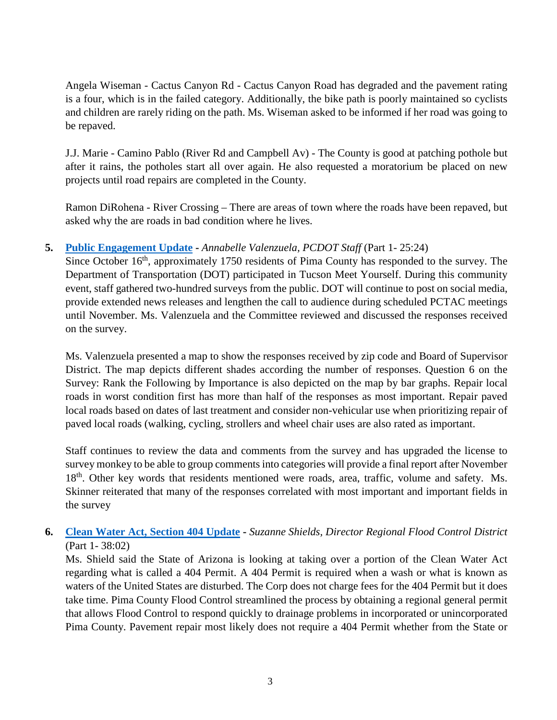Angela Wiseman - Cactus Canyon Rd - Cactus Canyon Road has degraded and the pavement rating is a four, which is in the failed category. Additionally, the bike path is poorly maintained so cyclists and children are rarely riding on the path. Ms. Wiseman asked to be informed if her road was going to be repaved.

J.J. Marie - Camino Pablo (River Rd and Campbell Av) - The County is good at patching pothole but after it rains, the potholes start all over again. He also requested a moratorium be placed on new projects until road repairs are completed in the County.

Ramon DiRohena - River Crossing – There are areas of town where the roads have been repaved, but asked why the are roads in bad condition where he lives.

## **5. [Public Engagement Update](http://webcms.pima.gov/UserFiles/Servers/Server_6/File/Government/Transportation/TransportationAdvisoryCommittee/DocumentsTab/Oct22.2019/PublicEngagement_and_PublicSurveyMap.pdf) -** *Annabelle Valenzuela, PCDOT Staff* (Part 1- 25:24)

Since October 16<sup>th</sup>, approximately 1750 residents of Pima County has responded to the survey. The Department of Transportation (DOT) participated in Tucson Meet Yourself. During this community event, staff gathered two-hundred surveys from the public. DOT will continue to post on social media, provide extended news releases and lengthen the call to audience during scheduled PCTAC meetings until November. Ms. Valenzuela and the Committee reviewed and discussed the responses received on the survey.

Ms. Valenzuela presented a map to show the responses received by zip code and Board of Supervisor District. The map depicts different shades according the number of responses. Question 6 on the Survey: Rank the Following by Importance is also depicted on the map by bar graphs. Repair local roads in worst condition first has more than half of the responses as most important. Repair paved local roads based on dates of last treatment and consider non-vehicular use when prioritizing repair of paved local roads (walking, cycling, strollers and wheel chair uses are also rated as important.

Staff continues to review the data and comments from the survey and has upgraded the license to survey monkey to be able to group comments into categories will provide a final report after November 18<sup>th</sup>. Other key words that residents mentioned were roads, area, traffic, volume and safety. Ms. Skinner reiterated that many of the responses correlated with most important and important fields in the survey

## **6. [Clean Water Act, Section](http://webcms.pima.gov/UserFiles/Servers/Server_6/File/Government/Transportation/TransportationAdvisoryCommittee/DocumentsTab/Oct22.2019/CleanWater-404-Permit_Roadmap.pdf) 404 Update -** *Suzanne Shields, Director Regional Flood Control District* (Part 1- 38:02)

Ms. Shield said the State of Arizona is looking at taking over a portion of the Clean Water Act regarding what is called a 404 Permit. A 404 Permit is required when a wash or what is known as waters of the United States are disturbed. The Corp does not charge fees for the 404 Permit but it does take time. Pima County Flood Control streamlined the process by obtaining a regional general permit that allows Flood Control to respond quickly to drainage problems in incorporated or unincorporated Pima County. Pavement repair most likely does not require a 404 Permit whether from the State or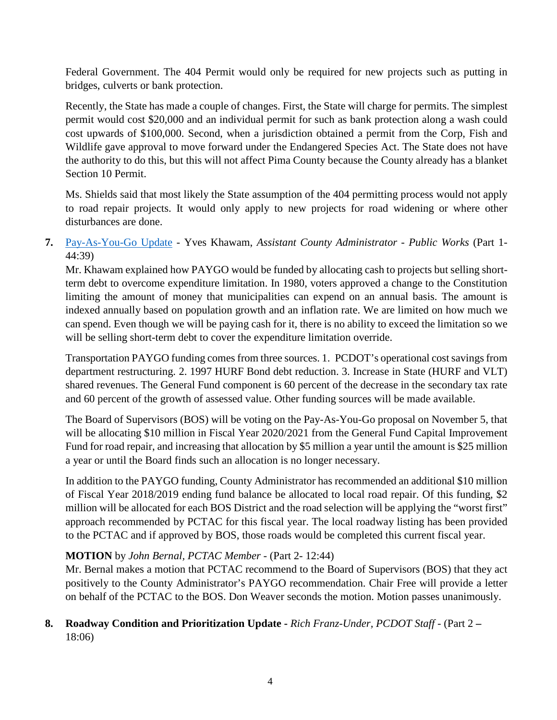Federal Government. The 404 Permit would only be required for new projects such as putting in bridges, culverts or bank protection.

Recently, the State has made a couple of changes. First, the State will charge for permits. The simplest permit would cost \$20,000 and an individual permit for such as bank protection along a wash could cost upwards of \$100,000. Second, when a jurisdiction obtained a permit from the Corp, Fish and Wildlife gave approval to move forward under the Endangered Species Act. The State does not have the authority to do this, but this will not affect Pima County because the County already has a blanket Section 10 Permit.

Ms. Shields said that most likely the State assumption of the 404 permitting process would not apply to road repair projects. It would only apply to new projects for road widening or where other disturbances are done.

# **7.** [Pay-As-You-Go Update](http://webcms.pima.gov/UserFiles/Servers/Server_6/File/Government/Transportation/TransportationAdvisoryCommittee/DocumentsTab/Oct22.2019/191022_PAYGO_PCTAC.pdf) - Yves Khawam, *Assistant County Administrator - Public Works* (Part 1- 44:39)

Mr. Khawam explained how PAYGO would be funded by allocating cash to projects but selling shortterm debt to overcome expenditure limitation. In 1980, voters approved a change to the Constitution limiting the amount of money that municipalities can expend on an annual basis. The amount is indexed annually based on population growth and an inflation rate. We are limited on how much we can spend. Even though we will be paying cash for it, there is no ability to exceed the limitation so we will be selling short-term debt to cover the expenditure limitation override.

Transportation PAYGO funding comes from three sources. 1. PCDOT's operational cost savings from department restructuring. 2. 1997 HURF Bond debt reduction. 3. Increase in State (HURF and VLT) shared revenues. The General Fund component is 60 percent of the decrease in the secondary tax rate and 60 percent of the growth of assessed value. Other funding sources will be made available.

The Board of Supervisors (BOS) will be voting on the Pay-As-You-Go proposal on November 5, that will be allocating \$10 million in Fiscal Year 2020/2021 from the General Fund Capital Improvement Fund for road repair, and increasing that allocation by \$5 million a year until the amount is \$25 million a year or until the Board finds such an allocation is no longer necessary.

In addition to the PAYGO funding, County Administrator has recommended an additional \$10 million of Fiscal Year 2018/2019 ending fund balance be allocated to local road repair. Of this funding, \$2 million will be allocated for each BOS District and the road selection will be applying the "worst first" approach recommended by PCTAC for this fiscal year. The local roadway listing has been provided to the PCTAC and if approved by BOS, those roads would be completed this current fiscal year.

## **MOTION** by *John Bernal, PCTAC Member -* (Part 2- 12:44)

Mr. Bernal makes a motion that PCTAC recommend to the Board of Supervisors (BOS) that they act positively to the County Administrator's PAYGO recommendation. Chair Free will provide a letter on behalf of the PCTAC to the BOS. Don Weaver seconds the motion. Motion passes unanimously.

## **8. Roadway Condition and Prioritization Update -** *Rich Franz-Under, PCDOT Staff -* (Part 2 **–** 18:06)